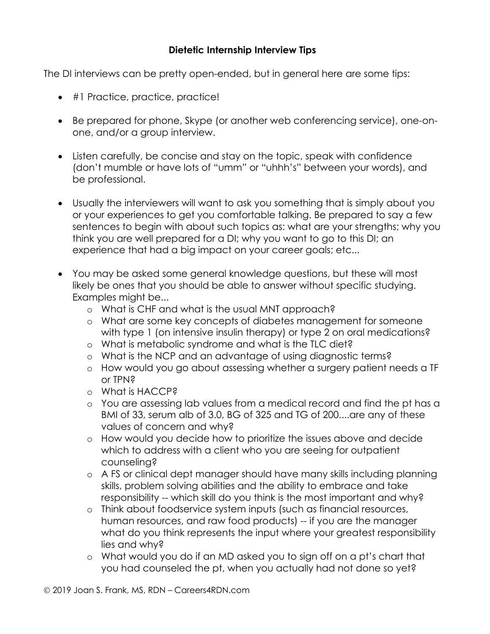## **Dietetic Internship Interview Tips**

The DI interviews can be pretty open-ended, but in general here are some tips:

- #1 Practice, practice, practice!
- Be prepared for phone, Skype (or another web conferencing service), one-onone, and/or a group interview.
- Listen carefully, be concise and stay on the topic, speak with confidence (don't mumble or have lots of "umm" or "uhhh's" between your words), and be professional.
- Usually the interviewers will want to ask you something that is simply about you or your experiences to get you comfortable talking. Be prepared to say a few sentences to begin with about such topics as: what are your strengths; why you think you are well prepared for a DI; why you want to go to this DI; an experience that had a big impact on your career goals; etc...
- You may be asked some general knowledge questions, but these will most likely be ones that you should be able to answer without specific studying. Examples might be...
	- o What is CHF and what is the usual MNT approach?
	- o What are some key concepts of diabetes management for someone with type 1 (on intensive insulin therapy) or type 2 on oral medications?
	- o What is metabolic syndrome and what is the TLC diet?
	- o What is the NCP and an advantage of using diagnostic terms?
	- o How would you go about assessing whether a surgery patient needs a TF or TPN?
	- o What is HACCP?
	- o You are assessing lab values from a medical record and find the pt has a BMI of 33, serum alb of 3.0, BG of 325 and TG of 200....are any of these values of concern and why?
	- o How would you decide how to prioritize the issues above and decide which to address with a client who you are seeing for outpatient counseling?
	- o A FS or clinical dept manager should have many skills including planning skills, problem solving abilities and the ability to embrace and take responsibility -- which skill do you think is the most important and why?
	- o Think about foodservice system inputs (such as financial resources, human resources, and raw food products) -- if you are the manager what do you think represents the input where your greatest responsibility lies and why?
	- o What would you do if an MD asked you to sign off on a pt's chart that you had counseled the pt, when you actually had not done so yet?